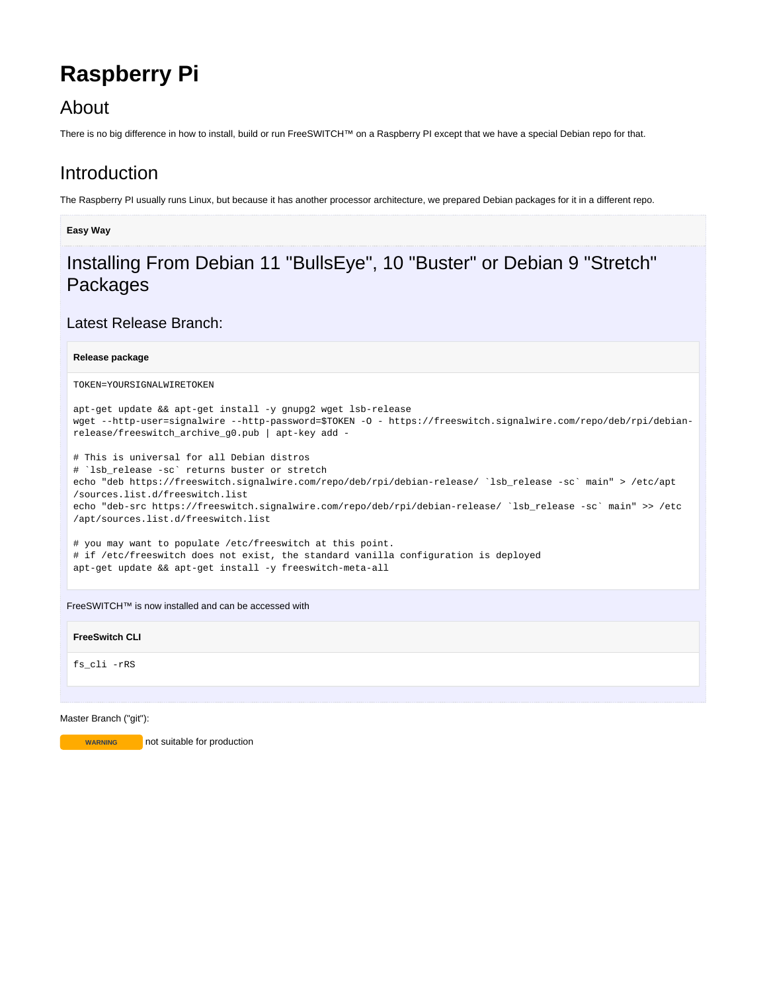# **Raspberry Pi**

### About

There is no big difference in how to install, build or run FreeSWITCH™ on a Raspberry PI except that we have a special Debian repo for that.

### Introduction

The Raspberry PI usually runs Linux, but because it has another processor architecture, we prepared Debian packages for it in a different repo.

#### **Easy Way**

## Installing From Debian 11 "BullsEye", 10 "Buster" or Debian 9 "Stretch" Packages

### Latest Release Branch:

#### **Release package**

```
TOKEN=YOURSIGNALWIRETOKEN
```

```
apt-get update && apt-get install -y gnupg2 wget lsb-release
wget --http-user=signalwire --http-password=$TOKEN -O - https://freeswitch.signalwire.com/repo/deb/rpi/debian-
release/freeswitch_archive_g0.pub | apt-key add -
```
# This is universal for all Debian distros # `lsb\_release -sc` returns buster or stretch echo "deb https://freeswitch.signalwire.com/repo/deb/rpi/debian-release/ `lsb\_release -sc` main" > /etc/apt /sources.list.d/freeswitch.list echo "deb-src https://freeswitch.signalwire.com/repo/deb/rpi/debian-release/ `lsb\_release -sc` main" >> /etc /apt/sources.list.d/freeswitch.list

# you may want to populate /etc/freeswitch at this point. # if /etc/freeswitch does not exist, the standard vanilla configuration is deployed apt-get update && apt-get install -y freeswitch-meta-all

FreeSWITCH™ is now installed and can be accessed with

#### **FreeSwitch CLI**

fs\_cli -rRS

#### Master Branch ("git"):

**WARNING** not suitable for production